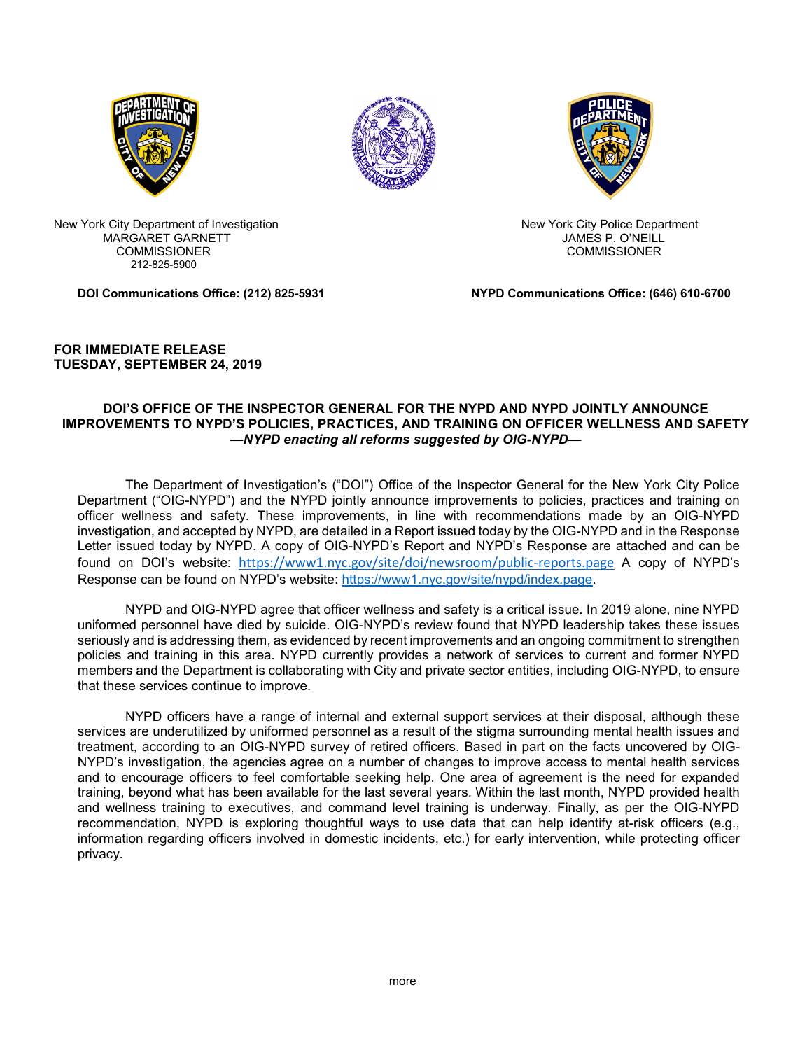





New York City Department of Investigation New York City Police Department MARGARET GARNETT AND THE SERIES OF THE SERIES OF THE SAME SP. O'NEILL COMMISSIONER COMMISSIONER 212-825-5900

**DOI Communications Office: (212) 825-5931 NYPD Communications Office: (646) 610-6700**

## **FOR IMMEDIATE RELEASE TUESDAY, SEPTEMBER 24, 2019**

## **DOI'S OFFICE OF THE INSPECTOR GENERAL FOR THE NYPD AND NYPD JOINTLY ANNOUNCE IMPROVEMENTS TO NYPD'S POLICIES, PRACTICES, AND TRAINING ON OFFICER WELLNESS AND SAFETY** *—NYPD enacting all reforms suggested by OIG-NYPD—*

The Department of Investigation's ("DOI") Office of the Inspector General for the New York City Police Department ("OIG-NYPD") and the NYPD jointly announce improvements to policies, practices and training on officer wellness and safety. These improvements, in line with recommendations made by an OIG-NYPD investigation, and accepted by NYPD, are detailed in a Report issued today by the OIG-NYPD and in the Response Letter issued today by NYPD. A copy of OIG-NYPD's Report and NYPD's Response are attached and can be found on DOI's website: <https://www1.nyc.gov/site/doi/newsroom/public-reports.page> A copy of NYPD's Response can be found on NYPD's website: [https://www1.nyc.gov/site/nypd/index.page.](https://www1.nyc.gov/site/nypd/index.page)

NYPD and OIG-NYPD agree that officer wellness and safety is a critical issue. In 2019 alone, nine NYPD uniformed personnel have died by suicide. OIG-NYPD's review found that NYPD leadership takes these issues seriously and is addressing them, as evidenced by recent improvements and an ongoing commitment to strengthen policies and training in this area. NYPD currently provides a network of services to current and former NYPD members and the Department is collaborating with City and private sector entities, including OIG-NYPD, to ensure that these services continue to improve.

NYPD officers have a range of internal and external support services at their disposal, although these services are underutilized by uniformed personnel as a result of the stigma surrounding mental health issues and treatment, according to an OIG-NYPD survey of retired officers. Based in part on the facts uncovered by OIG-NYPD's investigation, the agencies agree on a number of changes to improve access to mental health services and to encourage officers to feel comfortable seeking help. One area of agreement is the need for expanded training, beyond what has been available for the last several years. Within the last month, NYPD provided health and wellness training to executives, and command level training is underway. Finally, as per the OIG-NYPD recommendation, NYPD is exploring thoughtful ways to use data that can help identify at-risk officers (e.g., information regarding officers involved in domestic incidents, etc.) for early intervention, while protecting officer privacy.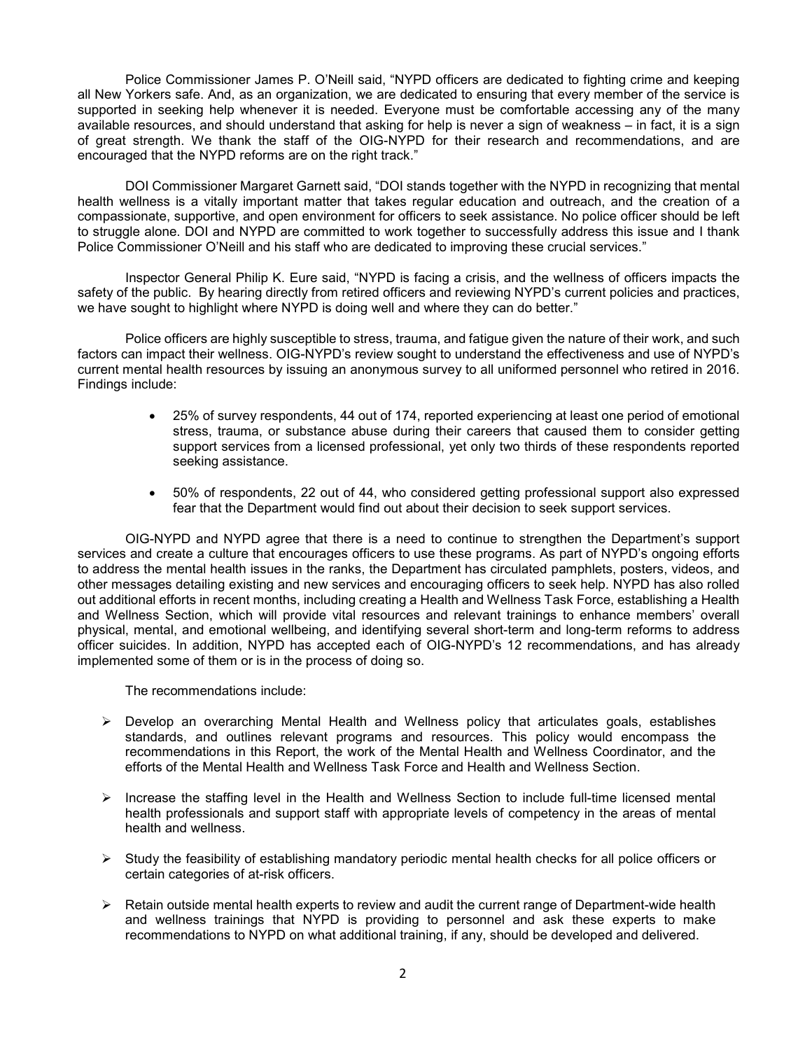Police Commissioner James P. O'Neill said, "NYPD officers are dedicated to fighting crime and keeping all New Yorkers safe. And, as an organization, we are dedicated to ensuring that every member of the service is supported in seeking help whenever it is needed. Everyone must be comfortable accessing any of the many available resources, and should understand that asking for help is never a sign of weakness – in fact, it is a sign of great strength. We thank the staff of the OIG-NYPD for their research and recommendations, and are encouraged that the NYPD reforms are on the right track."

DOI Commissioner Margaret Garnett said, "DOI stands together with the NYPD in recognizing that mental health wellness is a vitally important matter that takes regular education and outreach, and the creation of a compassionate, supportive, and open environment for officers to seek assistance. No police officer should be left to struggle alone. DOI and NYPD are committed to work together to successfully address this issue and I thank Police Commissioner O'Neill and his staff who are dedicated to improving these crucial services."

Inspector General Philip K. Eure said, "NYPD is facing a crisis, and the wellness of officers impacts the safety of the public. By hearing directly from retired officers and reviewing NYPD's current policies and practices, we have sought to highlight where NYPD is doing well and where they can do better."

Police officers are highly susceptible to stress, trauma, and fatigue given the nature of their work, and such factors can impact their wellness. OIG-NYPD's review sought to understand the effectiveness and use of NYPD's current mental health resources by issuing an anonymous survey to all uniformed personnel who retired in 2016. Findings include:

- 25% of survey respondents, 44 out of 174, reported experiencing at least one period of emotional stress, trauma, or substance abuse during their careers that caused them to consider getting support services from a licensed professional, yet only two thirds of these respondents reported seeking assistance.
- 50% of respondents, 22 out of 44, who considered getting professional support also expressed fear that the Department would find out about their decision to seek support services.

OIG-NYPD and NYPD agree that there is a need to continue to strengthen the Department's support services and create a culture that encourages officers to use these programs. As part of NYPD's ongoing efforts to address the mental health issues in the ranks, the Department has circulated pamphlets, posters, videos, and other messages detailing existing and new services and encouraging officers to seek help. NYPD has also rolled out additional efforts in recent months, including creating a Health and Wellness Task Force, establishing a Health and Wellness Section, which will provide vital resources and relevant trainings to enhance members' overall physical, mental, and emotional wellbeing, and identifying several short-term and long-term reforms to address officer suicides. In addition, NYPD has accepted each of OIG-NYPD's 12 recommendations, and has already implemented some of them or is in the process of doing so.

The recommendations include:

- Develop an overarching Mental Health and Wellness policy that articulates goals, establishes standards, and outlines relevant programs and resources. This policy would encompass the recommendations in this Report, the work of the Mental Health and Wellness Coordinator, and the efforts of the Mental Health and Wellness Task Force and Health and Wellness Section.
- $\triangleright$  Increase the staffing level in the Health and Wellness Section to include full-time licensed mental health professionals and support staff with appropriate levels of competency in the areas of mental health and wellness.
- $\triangleright$  Study the feasibility of establishing mandatory periodic mental health checks for all police officers or certain categories of at-risk officers.
- $\triangleright$  Retain outside mental health experts to review and audit the current range of Department-wide health and wellness trainings that NYPD is providing to personnel and ask these experts to make recommendations to NYPD on what additional training, if any, should be developed and delivered.